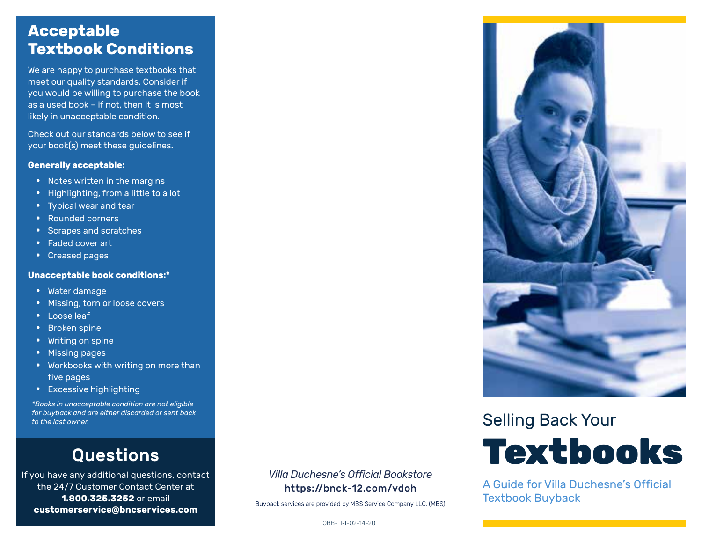### **Acceptable Textbook Conditions**

We are happy to purchase textbooks that meet our quality standards. Consider if you would be willing to purchase the book as a used book – if not, then it is most likely in unacceptable condition.

Check out our standards below to see if your book(s) meet these guidelines.

#### **Generally acceptable:**

- Notes written in the margins
- Highlighting, from a little to a lot
- Typical wear and tear
- Rounded corners
- Scrapes and scratches
- Faded cover art
- Creased pages

#### **Unacceptable book conditions:\***

- Water damage
- Missing, torn or loose covers
- Loose leaf
- Broken spine
- Writing on spine
- Missing pages
- Workbooks with writing on more than five pages
- Excessive highlighting

*\*Books in unacceptable condition are not eligible for buyback and are either discarded or sent back to the last owner.*

## Questions

If you have any additional questions, contact the 24/7 Customer Contact Center at **1.800.325.3252** or email **customerservice@bncservices.com**

#### *Villa Duchesne's Official Bookstore* https://bnck-12.com/vdoh

Buyback services are provided by MBS Service Company LLC. (MBS)



Selling Back Your



A Guide for Villa Duchesne's Official Textbook Buyback

OBB-TRI-02-14-20